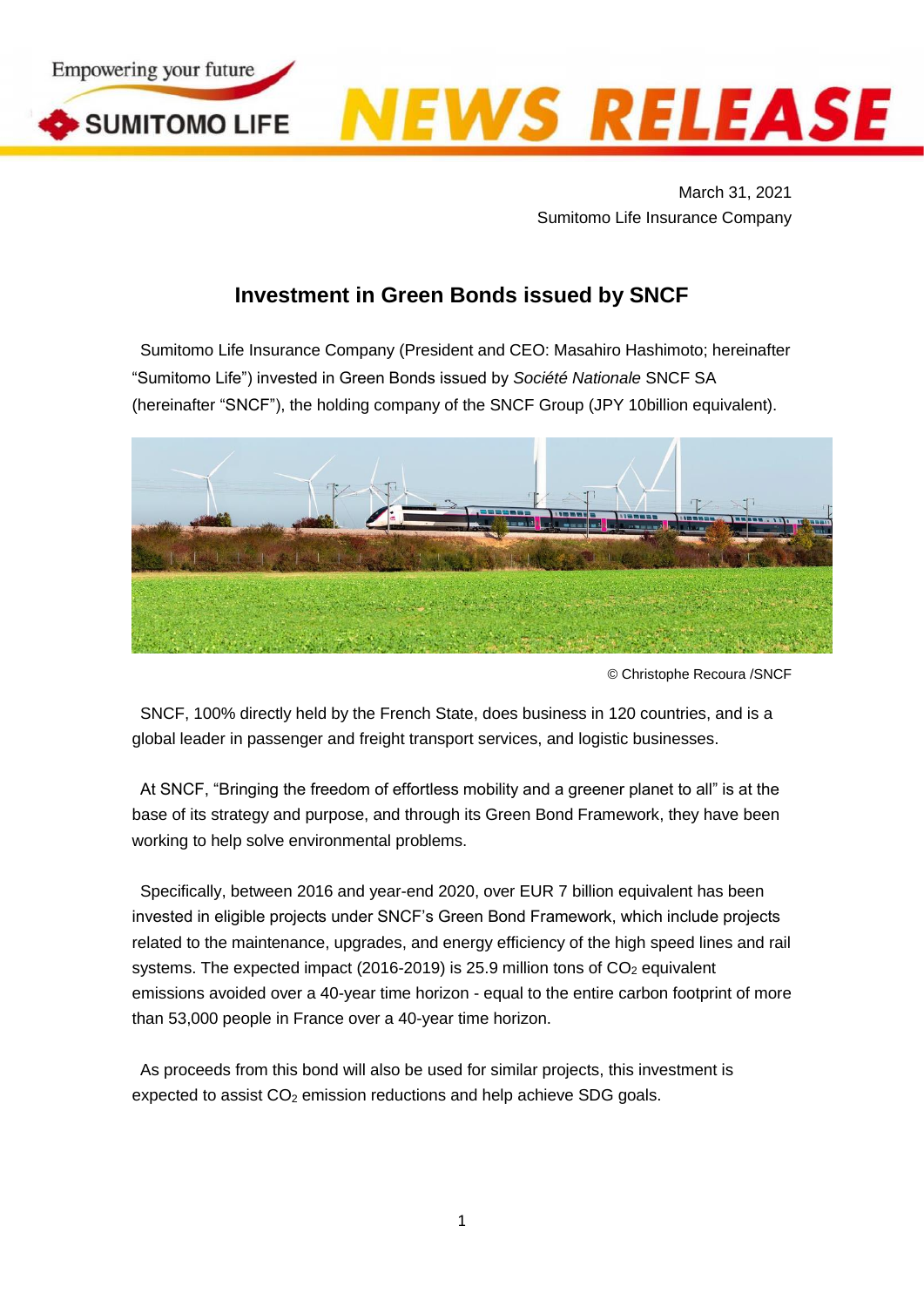

March 31, 2021 Sumitomo Life Insurance Company

## **Investment in Green Bonds issued by SNCF**

Sumitomo Life Insurance Company (President and CEO: Masahiro Hashimoto; hereinafter "Sumitomo Life") invested in Green Bonds issued by *Société Nationale* SNCF SA (hereinafter "SNCF"), the holding company of the SNCF Group (JPY 10billion equivalent).



© Christophe Recoura /SNCF

SNCF, 100% directly held by the French State, does business in 120 countries, and is a global leader in passenger and freight transport services, and logistic businesses.

At SNCF, "Bringing the freedom of effortless mobility and a greener planet to all" is at the base of its strategy and purpose, and through its Green Bond Framework, they have been working to help solve environmental problems.

Specifically, between 2016 and year-end 2020, over EUR 7 billion equivalent has been invested in eligible projects under SNCF's Green Bond Framework, which include projects related to the maintenance, upgrades, and energy efficiency of the high speed lines and rail systems. The expected impact (2016-2019) is 25.9 million tons of  $CO<sub>2</sub>$  equivalent emissions avoided over a 40-year time horizon - equal to the entire carbon footprint of more than 53,000 people in France over a 40-year time horizon.

As proceeds from this bond will also be used for similar projects, this investment is expected to assist  $CO<sub>2</sub>$  emission reductions and help achieve SDG goals.